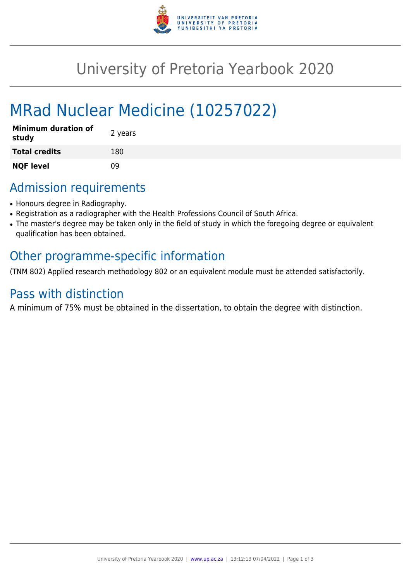

## University of Pretoria Yearbook 2020

# MRad Nuclear Medicine (10257022)

| <b>Minimum duration of</b><br>study | 2 years |
|-------------------------------------|---------|
| <b>Total credits</b>                | 180     |
| <b>NQF level</b>                    | 09      |

### Admission requirements

- Honours degree in Radiography.
- Registration as a radiographer with the Health Professions Council of South Africa.
- The master's degree may be taken only in the field of study in which the foregoing degree or equivalent qualification has been obtained.

### Other programme-specific information

(TNM 802) Applied research methodology 802 or an equivalent module must be attended satisfactorily.

#### Pass with distinction

A minimum of 75% must be obtained in the dissertation, to obtain the degree with distinction.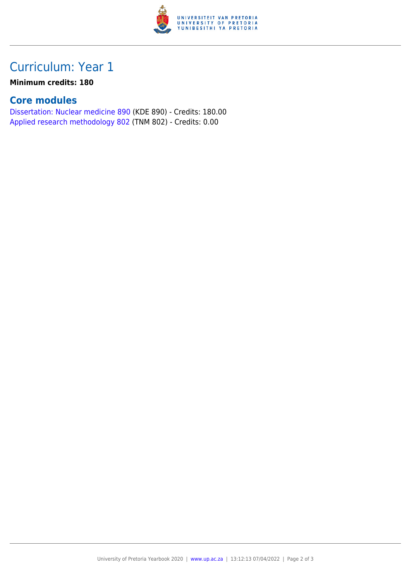

### Curriculum: Year 1

#### **Minimum credits: 180**

#### **Core modules**

[Dissertation: Nuclear medicine 890](https://www.up.ac.za/yearbooks/2020/modules/view/KDE 890) (KDE 890) - Credits: 180.00 [Applied research methodology 802](https://www.up.ac.za/yearbooks/2020/modules/view/TNM 802) (TNM 802) - Credits: 0.00